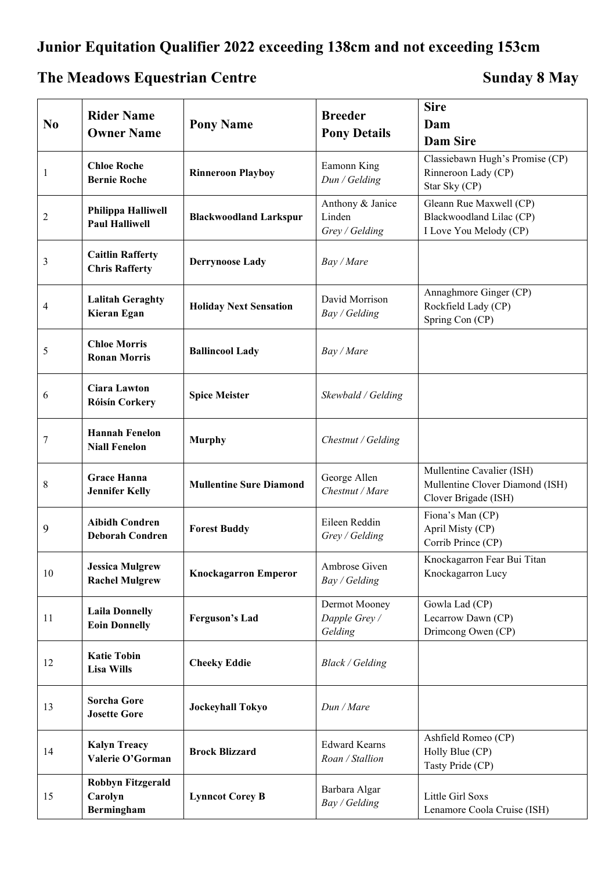## **Junior Equitation Qualifier 2022 exceeding 138cm and not exceeding 153cm**

## **The Meadows Equestrian Centre Sunday 8 May**

| N <sub>0</sub> | <b>Rider Name</b><br><b>Owner Name</b>            | <b>Pony Name</b>               | <b>Breeder</b><br><b>Pony Details</b>        | <b>Sire</b><br>Dam<br><b>Dam Sire</b>                                                |
|----------------|---------------------------------------------------|--------------------------------|----------------------------------------------|--------------------------------------------------------------------------------------|
| 1              | <b>Chloe Roche</b><br><b>Bernie Roche</b>         | <b>Rinneroon Playboy</b>       | Eamonn King<br>Dun / Gelding                 | Classiebawn Hugh's Promise (CP)<br>Rinneroon Lady (CP)<br>Star Sky (CP)              |
| 2              | Philippa Halliwell<br><b>Paul Halliwell</b>       | <b>Blackwoodland Larkspur</b>  | Anthony & Janice<br>Linden<br>Grey / Gelding | Gleann Rue Maxwell (CP)<br>Blackwoodland Lilac (CP)<br>I Love You Melody (CP)        |
| 3              | <b>Caitlin Rafferty</b><br><b>Chris Rafferty</b>  | <b>Derrynoose Lady</b>         | Bay / Mare                                   |                                                                                      |
| 4              | <b>Lalitah Geraghty</b><br>Kieran Egan            | <b>Holiday Next Sensation</b>  | David Morrison<br>Bay / Gelding              | Annaghmore Ginger (CP)<br>Rockfield Lady (CP)<br>Spring Con (CP)                     |
| 5              | <b>Chloe Morris</b><br><b>Ronan Morris</b>        | <b>Ballincool Lady</b>         | Bay / Mare                                   |                                                                                      |
| 6              | <b>Ciara Lawton</b><br><b>Róisín Corkery</b>      | <b>Spice Meister</b>           | Skewbald / Gelding                           |                                                                                      |
| 7              | <b>Hannah Fenelon</b><br><b>Niall Fenelon</b>     | <b>Murphy</b>                  | Chestnut / Gelding                           |                                                                                      |
| 8              | <b>Grace Hanna</b><br><b>Jennifer Kelly</b>       | <b>Mullentine Sure Diamond</b> | George Allen<br>Chestnut / Mare              | Mullentine Cavalier (ISH)<br>Mullentine Clover Diamond (ISH)<br>Clover Brigade (ISH) |
| 9              | <b>Aibidh Condren</b><br><b>Deborah Condren</b>   | <b>Forest Buddy</b>            | Eileen Reddin<br>Grey / Gelding              | Fiona's Man (CP)<br>April Misty (CP)<br>Corrib Prince (CP)                           |
| 10             | <b>Jessica Mulgrew</b><br><b>Rachel Mulgrew</b>   | <b>Knockagarron Emperor</b>    | Ambrose Given<br>Bay / Gelding               | Knockagarron Fear Bui Titan<br>Knockagarron Lucy                                     |
| 11             | <b>Laila Donnelly</b><br><b>Eoin Donnelly</b>     | <b>Ferguson's Lad</b>          | Dermot Mooney<br>Dapple Grey /<br>Gelding    | Gowla Lad (CP)<br>Lecarrow Dawn (CP)<br>Drimcong Owen (CP)                           |
| 12             | <b>Katie Tobin</b><br><b>Lisa Wills</b>           | <b>Cheeky Eddie</b>            | <b>Black / Gelding</b>                       |                                                                                      |
| 13             | <b>Sorcha Gore</b><br><b>Josette Gore</b>         | <b>Jockeyhall Tokyo</b>        | Dun / Mare                                   |                                                                                      |
| 14             | <b>Kalyn Treacy</b><br>Valerie O'Gorman           | <b>Brock Blizzard</b>          | <b>Edward Kearns</b><br>Roan / Stallion      | Ashfield Romeo (CP)<br>Holly Blue (CP)<br>Tasty Pride (CP)                           |
| 15             | <b>Robbyn Fitzgerald</b><br>Carolyn<br>Bermingham | <b>Lynncot Corey B</b>         | Barbara Algar<br>Bay / Gelding               | Little Girl Soxs<br>Lenamore Coola Cruise (ISH)                                      |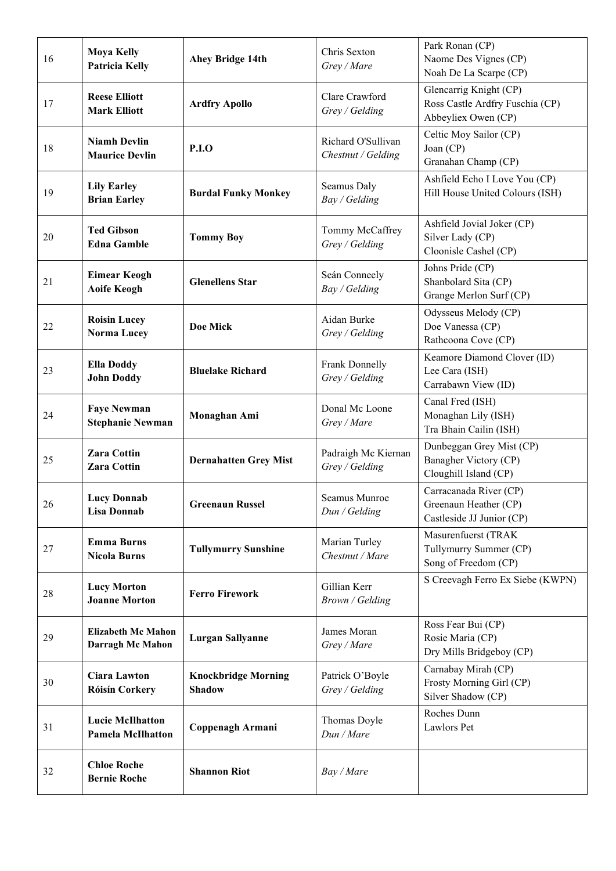| 16 | <b>Moya Kelly</b><br><b>Patricia Kelly</b>           | Ahey Bridge 14th                            | Chris Sexton<br>Grey / Mare              | Park Ronan (CP)<br>Naome Des Vignes (CP)<br>Noah De La Scarpe (CP)               |
|----|------------------------------------------------------|---------------------------------------------|------------------------------------------|----------------------------------------------------------------------------------|
| 17 | <b>Reese Elliott</b><br><b>Mark Elliott</b>          | <b>Ardfry Apollo</b>                        | Clare Crawford<br>Grey / Gelding         | Glencarrig Knight (CP)<br>Ross Castle Ardfry Fuschia (CP)<br>Abbeyliex Owen (CP) |
| 18 | <b>Niamh Devlin</b><br><b>Maurice Devlin</b>         | <b>P.I.O</b>                                | Richard O'Sullivan<br>Chestnut / Gelding | Celtic Moy Sailor (CP)<br>Joan (CP)<br>Granahan Champ (CP)                       |
| 19 | <b>Lily Earley</b><br><b>Brian Earley</b>            | <b>Burdal Funky Monkey</b>                  | Seamus Daly<br>Bay / Gelding             | Ashfield Echo I Love You (CP)<br>Hill House United Colours (ISH)                 |
| 20 | <b>Ted Gibson</b><br><b>Edna Gamble</b>              | <b>Tommy Boy</b>                            | Tommy McCaffrey<br>Grey / Gelding        | Ashfield Jovial Joker (CP)<br>Silver Lady (CP)<br>Cloonisle Cashel (CP)          |
| 21 | <b>Eimear Keogh</b><br><b>Aoife Keogh</b>            | <b>Glenellens Star</b>                      | Seán Conneely<br>Bay / Gelding           | Johns Pride (CP)<br>Shanbolard Sita (CP)<br>Grange Merlon Surf (CP)              |
| 22 | <b>Roisin Lucey</b><br><b>Norma Lucey</b>            | Doe Mick                                    | Aidan Burke<br>Grey / Gelding            | Odysseus Melody (CP)<br>Doe Vanessa (CP)<br>Rathcoona Cove (CP)                  |
| 23 | <b>Ella Doddy</b><br><b>John Doddy</b>               | <b>Bluelake Richard</b>                     | Frank Donnelly<br>Grey / Gelding         | Keamore Diamond Clover (ID)<br>Lee Cara (ISH)<br>Carrabawn View (ID)             |
| 24 | <b>Faye Newman</b><br><b>Stephanie Newman</b>        | Monaghan Ami                                | Donal Mc Loone<br>Grey / Mare            | Canal Fred (ISH)<br>Monaghan Lily (ISH)<br>Tra Bhain Cailin (ISH)                |
| 25 | <b>Zara Cottin</b><br><b>Zara Cottin</b>             | <b>Dernahatten Grey Mist</b>                | Padraigh Mc Kiernan<br>Grey / Gelding    | Dunbeggan Grey Mist (CP)<br>Banagher Victory (CP)<br>Cloughill Island (CP)       |
| 26 | <b>Lucy Donnab</b><br><b>Lisa Donnab</b>             | <b>Greenaun Russel</b>                      | Seamus Munroe<br>Dun / Gelding           | Carracanada River (CP)<br>Greenaun Heather (CP)<br>Castleside JJ Junior (CP)     |
| 27 | <b>Emma Burns</b><br><b>Nicola Burns</b>             | <b>Tullymurry Sunshine</b>                  | Marian Turley<br>Chestnut / Mare         | Masurenfuerst (TRAK<br>Tullymurry Summer (CP)<br>Song of Freedom (CP)            |
| 28 | <b>Lucy Morton</b><br><b>Joanne Morton</b>           | <b>Ferro Firework</b>                       | Gillian Kerr<br>Brown / Gelding          | S Creevagh Ferro Ex Siebe (KWPN)                                                 |
| 29 | <b>Elizabeth Mc Mahon</b><br><b>Darragh Mc Mahon</b> | <b>Lurgan Sallyanne</b>                     | James Moran<br>Grey / Mare               | Ross Fear Bui (CP)<br>Rosie Maria (CP)<br>Dry Mills Bridgeboy (CP)               |
| 30 | <b>Ciara Lawton</b><br><b>Róisín Corkery</b>         | <b>Knockbridge Morning</b><br><b>Shadow</b> | Patrick O'Boyle<br>Grey / Gelding        | Carnabay Mirah (CP)<br>Frosty Morning Girl (CP)<br>Silver Shadow (CP)            |
| 31 | <b>Lucie McIlhatton</b><br><b>Pamela McIlhatton</b>  | Coppenagh Armani                            | Thomas Doyle<br>Dun / Mare               | Roches Dunn<br>Lawlors Pet                                                       |
| 32 | <b>Chloe Roche</b><br><b>Bernie Roche</b>            | <b>Shannon Riot</b>                         | Bay / Mare                               |                                                                                  |